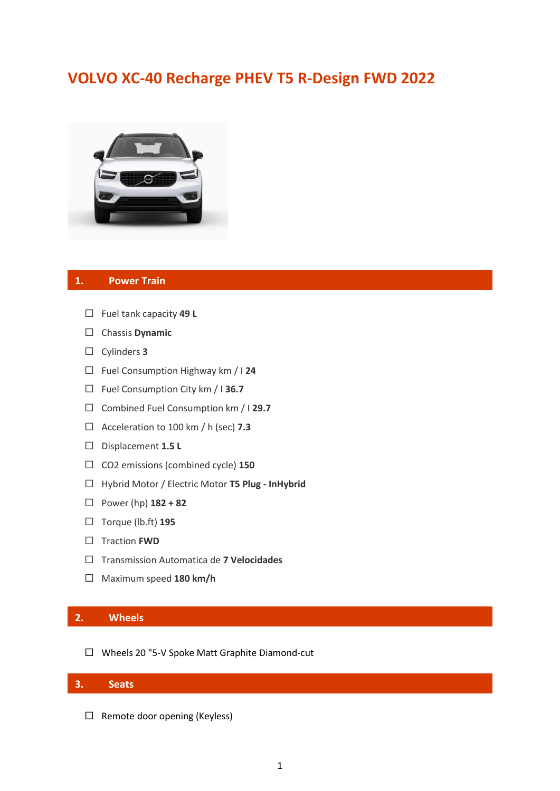# **VOLVO XC-40 Recharge PHEV T5 R-Design FWD 2022**



#### **1. Power Train**

- Fuel tank capacity **49 L**
- Chassis **Dynamic**
- Cylinders **3**
- Fuel Consumption Highway km / I **24**
- Fuel Consumption City km / I **36.7**
- Combined Fuel Consumption km / I **29.7**
- Acceleration to 100 km / h (sec) **7.3**
- Displacement **1.5 L**
- CO2 emissions (combined cycle) **150**
- Hybrid Motor / Electric Motor **T5 Plug - InHybrid**
- Power (hp) **182 + 82**
- Torque (lb.ft) **195**
- □ Traction **FWD**
- Transmission Automatica de **7 Velocidades**
- Maximum speed **180 km/h**

# **2. Wheels**

Wheels 20 "5-V Spoke Matt Graphite Diamond-cut

### **3. Seats**

 $\Box$  Remote door opening (Keyless)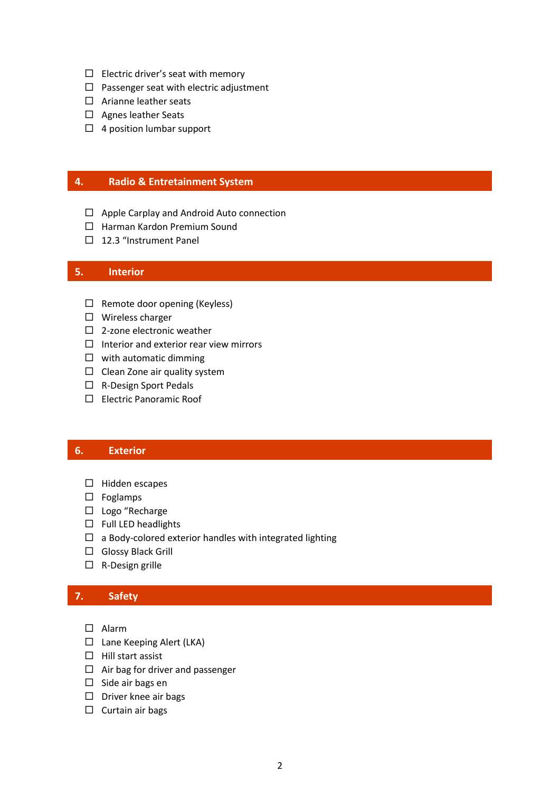- $\Box$  Electric driver's seat with memory
- $\Box$  Passenger seat with electric adjustment
- $\Box$  Arianne leather seats
- $\square$  Agnes leather Seats
- $\Box$  4 position lumbar support

### **4. Radio & Entretainment System**

- $\Box$  Apple Carplay and Android Auto connection
- $\Box$  Harman Kardon Premium Sound
- $\Box$  12.3 "Instrument Panel

#### **5. Interior**

- $\Box$  Remote door opening (Keyless)
- $\square$  Wireless charger
- $\square$  2-zone electronic weather
- $\Box$  Interior and exterior rear view mirrors
- $\square$  with automatic dimming
- $\Box$  Clean Zone air quality system
- □ R-Design Sport Pedals
- Electric Panoramic Roof

# **6. Exterior**

- $\square$  Hidden escapes **OPERATIVA**
	- $\square$  Foglamps
	- □ Logo "Recharge
	- $\square$  Full LED headlights
	- $\square$  a Body-colored exterior handles with integrated lighting
	- □ Glossy Black Grill
	- $\Box$  R-Design grille

#### **7. Safety**

- Alarm
- $\Box$  Lane Keeping Alert (LKA)
- $\Box$  Hill start assist
- $\Box$  Air bag for driver and passenger
- $\square$  Side air bags en
- $\square$  Driver knee air bags
- $\square$  Curtain air bags